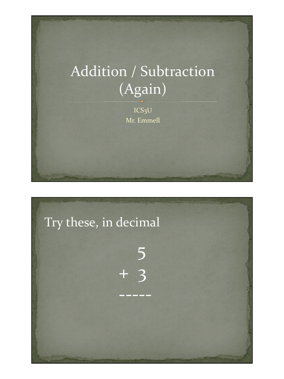# Addition / Subtraction  $\overline{(Again)}$

 $ICS<sub>3</sub>U$ Mr. Emmell

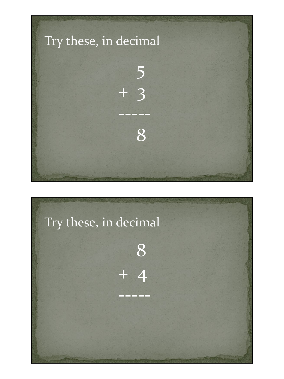

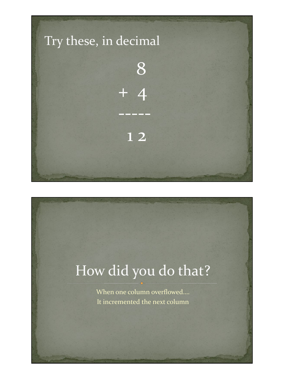

# How did you do that?

When one column overflowed.... It incremented the next column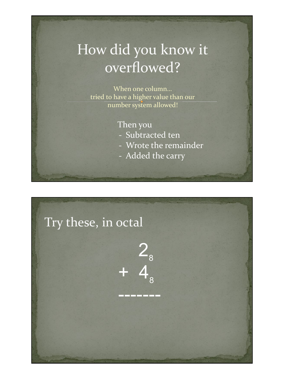## How did you know it overflowed?

When one column… tried to have a higher value than our number system allowed!

#### Then you

- Subtracted ten
- Wrote the remainder
- Added the carry

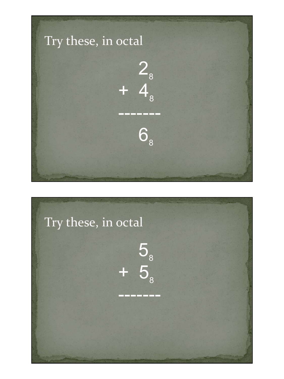

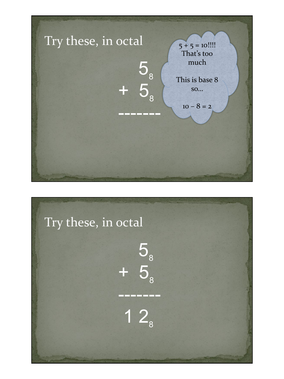

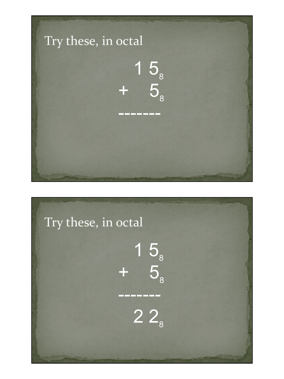

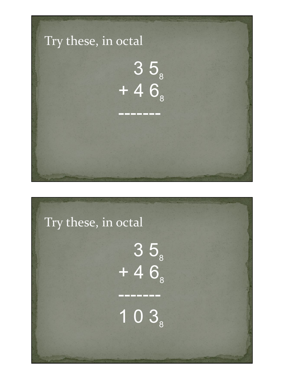

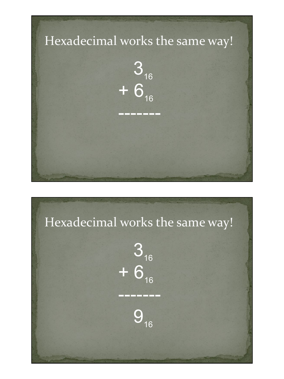

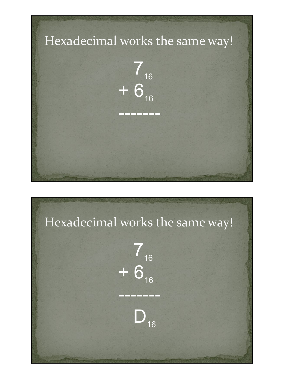

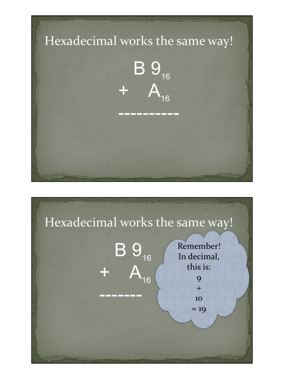

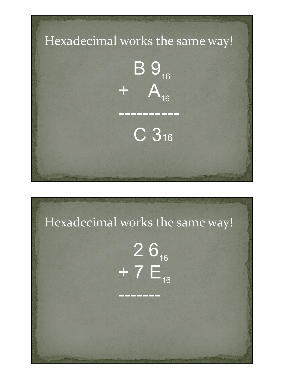

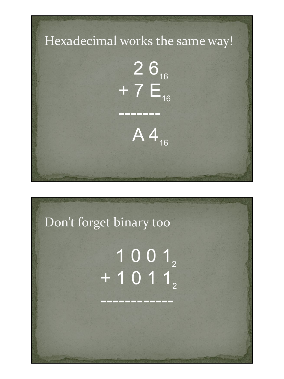

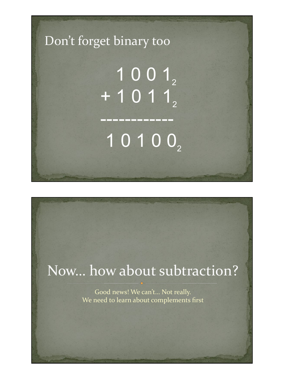

## Now… how about subtraction?

Good news! We can't… Not really. We need to learn about complements first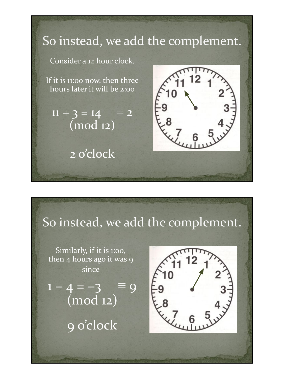

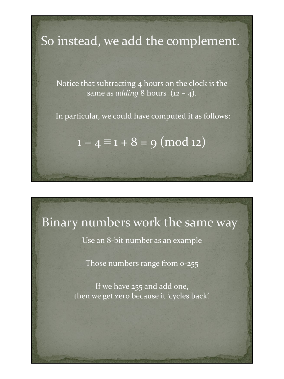### So instead, we add the complement.

Notice that subtracting 4 hours on the clock is the same as *adding* 8 hours (12 – 4).

In particular, we could have computed it as follows:

 $1 - 4 \equiv 1 + 8 = 9 \pmod{12}$ 

#### Binary numbers work the same way

Use an 8-bit number as an example

Those numbers range from 0-255

If we have 255 and add one, then we get zero because it 'cycles back'.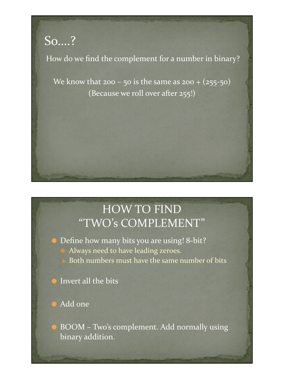## So….?

How do we find the complement for a number in binary?

We know that 200 – 50 is the same as  $200 + (255 - 50)$ (Because we roll over after 255!)

### HOW TO FIND "TWO's COMPLEMENT"

● Define how many bits you are using! 8-bit? ⚫ Always need to have leading zeroes. ⚫ Both numbers must have the same number of bits

⚫ Invert all the bits

⚫ Add one

⚫ BOOM – Two's complement. Add normally using binary addition.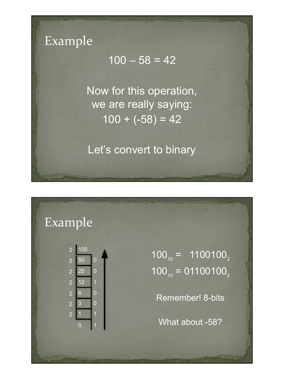

#### $100 - 58 = 42$

Now for this operation, we are really saying:  $100 + (-58) = 42$ 

Let's convert to binary

#### Example



 $100_{10} = 1100100_2$  $100_{10} = 01100100_{2}$ 

Remember! 8-bits

What about -58?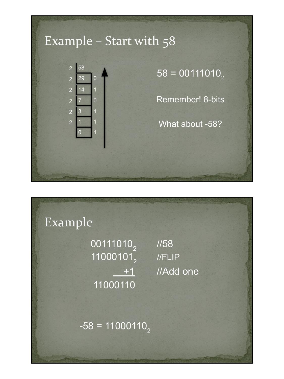

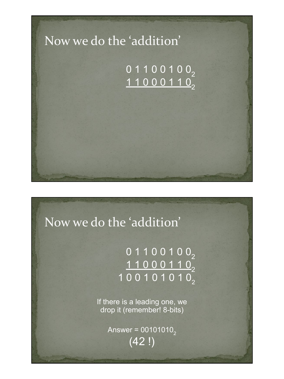

## Now we do the 'addition'

### 0 1 1 0 0 1 0 0 2 <u>1 1 0 0 0 1 1 0  $_2$ </u> 1 0 0 1 0 1 0 1 0 <sub>2</sub>

If there is a leading one, we drop it (remember! 8-bits)

> Answer =  $00101010_2$ (42 !)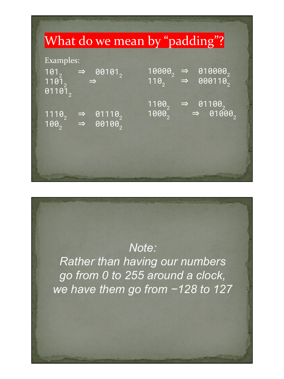

#### *Note:*

*Rather than having our numbers go from 0 to 255 around a clock, we have them go from −128 to 127*